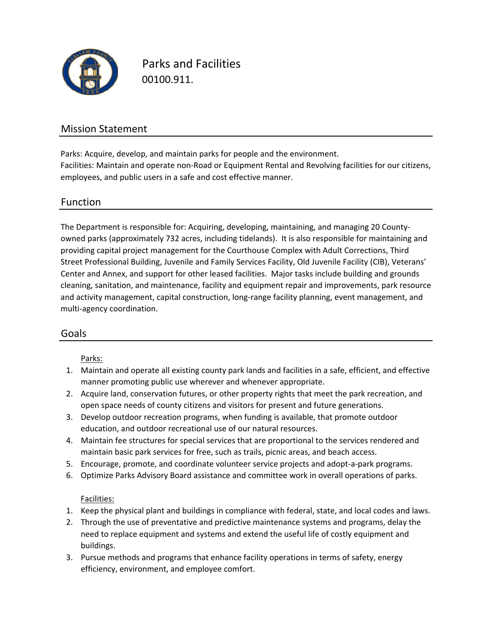

Parks and Facilities 00100.911.

### Mission Statement

Facilities: Maintain and operate non‐Road or Equipment Rental and Revolving facilities for our citizens, employees, and public users in a safe and cost effective manner. Parks: Acquire, develop, and maintain parks for people and the environment.

#### Function

The Department is responsible for: Acquiring, developing, maintaining, and managing 20 County‐ owned parks (approximately 732 acres, including tidelands). It is also responsible for maintaining and providing capital project management for the Courthouse Complex with Adult Corrections, Third Street Professional Building, Juvenile and Family Services Facility, Old Juvenile Facility (CIB), Veterans' Center and Annex, and support for other leased facilities. Major tasks include building and grounds cleaning, sanitation, and maintenance, facility and equipment repair and improvements, park resource and activity management, capital construction, long‐range facility planning, event management, and multi‐agency coordination.

#### Goals

#### Parks:

- 1. Maintain and operate all existing county park lands and facilities in a safe, efficient, and effective manner promoting public use wherever and whenever appropriate.
- 2. Acquire land, conservation futures, or other property rights that meet the park recreation, and open space needs of county citizens and visitors for present and future generations.
- 3. Develop outdoor recreation programs, when funding is available, that promote outdoor education, and outdoor recreational use of our natural resources.
- 4. Maintain fee structures for special services that are proportional to the services rendered and maintain basic park services for free, such as trails, picnic areas, and beach access.
- 5. Encourage, promote, and coordinate volunteer service projects and adopt‐a‐park programs.
- 6. Optimize Parks Advisory Board assistance and committee work in overall operations of parks.

#### Facilities:

- 1. Keep the physical plant and buildings in compliance with federal, state, and local codes and laws.
- 2. Through the use of preventative and predictive maintenance systems and programs, delay the need to replace equipment and systems and extend the useful life of costly equipment and buildings.
- 3. Pursue methods and programs that enhance facility operations in terms of safety, energy efficiency, environment, and employee comfort.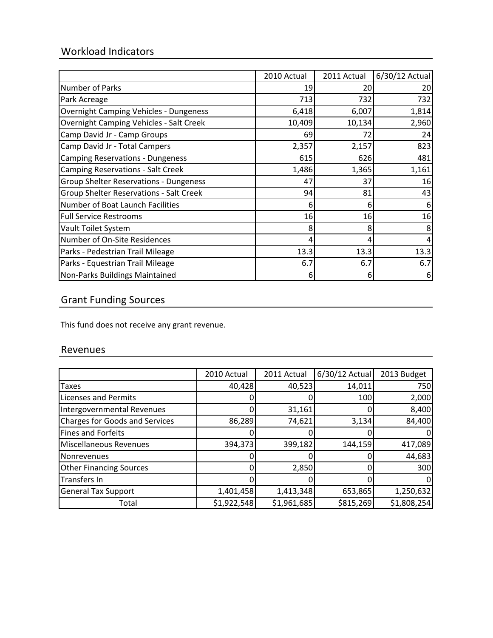# Workload Indicators

|                                                | 2010 Actual | 2011 Actual | 6/30/12 Actual |
|------------------------------------------------|-------------|-------------|----------------|
| Number of Parks                                | 19          | 20          | 20             |
| Park Acreage                                   | 713         | 732         | 732            |
| <b>Overnight Camping Vehicles - Dungeness</b>  | 6,418       | 6,007       | 1,814          |
| <b>Overnight Camping Vehicles - Salt Creek</b> | 10,409      | 10,134      | 2,960          |
| Camp David Jr - Camp Groups                    | 69          | 72          | 24             |
| Camp David Jr - Total Campers                  | 2,357       | 2,157       | 823            |
| <b>Camping Reservations - Dungeness</b>        | 615         | 626         | 481            |
| <b>Camping Reservations - Salt Creek</b>       | 1,486       | 1,365       | 1,161          |
| <b>Group Shelter Reservations - Dungeness</b>  | 47          | 37          | 16             |
| Group Shelter Reservations - Salt Creek        | 94          | 81          | 43             |
| Number of Boat Launch Facilities               | 6           | 6           | 6              |
| <b>Full Service Restrooms</b>                  | 16          | 16          | 16             |
| Vault Toilet System                            | 8           | 8           |                |
| Number of On-Site Residences                   | 4           | 4           |                |
| Parks - Pedestrian Trail Mileage               | 13.3        | 13.3        | 13.3           |
| Parks - Equestrian Trail Mileage               | 6.7         | 6.7         | 6.7            |
| Non-Parks Buildings Maintained                 | 6           | 6           | 6              |

## Grant Funding Sources

This fund does not receive any grant revenue.

### Revenues

|                                       | 2010 Actual | 2011 Actual | 6/30/12 Actual | 2013 Budget |
|---------------------------------------|-------------|-------------|----------------|-------------|
| <b>Taxes</b>                          | 40,428      | 40,523      | 14,011         | 750         |
| <b>Licenses and Permits</b>           |             |             | 100            | 2,000       |
| Intergovernmental Revenues            |             | 31,161      |                | 8,400       |
| <b>Charges for Goods and Services</b> | 86,289      | 74,621      | 3,134          | 84,400      |
| <b>Fines and Forfeits</b>             |             |             |                |             |
| Miscellaneous Revenues                | 394,373     | 399,182     | 144,159        | 417,089     |
| Nonrevenues                           |             |             |                | 44,683      |
| <b>Other Financing Sources</b>        |             | 2,850       |                | 300         |
| Transfers In                          |             |             |                | 0           |
| <b>General Tax Support</b>            | 1,401,458   | 1,413,348   | 653,865        | 1,250,632   |
| Total                                 | \$1,922,548 | \$1,961,685 | \$815,269      | \$1,808,254 |